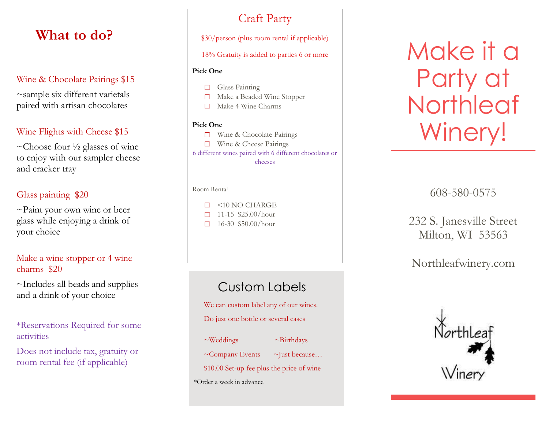# **What to do?**

## Wine & Chocolate Pairings \$15

~sample six different varietals paired with artisan chocolates

## Wine Flights with Cheese \$15

~Choose four  $\frac{1}{2}$  glasses of wine to enjoy with our sampler cheese and cracker tray

## Glass painting \$20

~Paint your own wine or beer glass while enjoying a drink of your choice

## Make a wine stopper or 4 wine charms \$20

~Includes all beads and supplies and a drink of your choice

## \*Reservations Required for some activities

Does not include tax, gratuity or room rental fee (if applicable)

## Craft Party

\$30/person (plus room rental if applicable)

18% Gratuity is added to parties 6 or more

### **Pick One**

- Glass Painting
- Make a Beaded Wine Stopper
- Make 4 Wine Charms

## **Pick One**

- Wine & Chocolate Pairings
- □ Wine & Cheese Pairings

6 different wines paired with 6 different chocolates or cheeses

#### Room Rental

- $\Box$  <10 NO CHARGE 11 -15 \$25.00/hour
- 16 -30 \$50.00/hour

# Custom Labels

We can custom label any of our wines.

Do just one bottle or several cases

 $\sim$ Weddings  $\sim$ Birthdays  $~\sim$ Company Events  $~\sim$ Just because... \$10.00 Set -up fee plus the price of wine

\*Order a week in advance

# Make it a Party at **Northleaf** Winery!

608 -580 -0575

## 232 S. Janesville Street Milton, WI 53563

## Northleafwinery.com